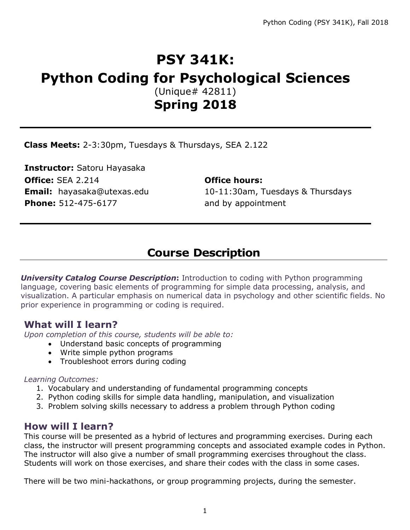# **PSY 341K: Python Coding for Psychological Sciences** (Unique# 42811)

**Spring 2018**

**Class Meets:** 2-3:30pm, Tuesdays & Thursdays, SEA 2.122

**Instructor:** Satoru Hayasaka **Office:** SEA 2.214 **Office hours: Phone:** 512-475-6177 and by appointment

**Email:** hayasaka@utexas.edu 10-11:30am, Tuesdays & Thursdays

# **Course Description**

*University Catalog Course Description***:** Introduction to coding with Python programming language, covering basic elements of programming for simple data processing, analysis, and visualization. A particular emphasis on numerical data in psychology and other scientific fields. No prior experience in programming or coding is required.

## **What will I learn?**

*Upon completion of this course, students will be able to:*

- Understand basic concepts of programming
- Write simple python programs
- Troubleshoot errors during coding

#### *Learning Outcomes:*

- 1. Vocabulary and understanding of fundamental programming concepts
- 2. Python coding skills for simple data handling, manipulation, and visualization
- 3. Problem solving skills necessary to address a problem through Python coding

#### **How will I learn?**

This course will be presented as a hybrid of lectures and programming exercises. During each class, the instructor will present programming concepts and associated example codes in Python. The instructor will also give a number of small programming exercises throughout the class. Students will work on those exercises, and share their codes with the class in some cases.

There will be two mini-hackathons, or group programming projects, during the semester.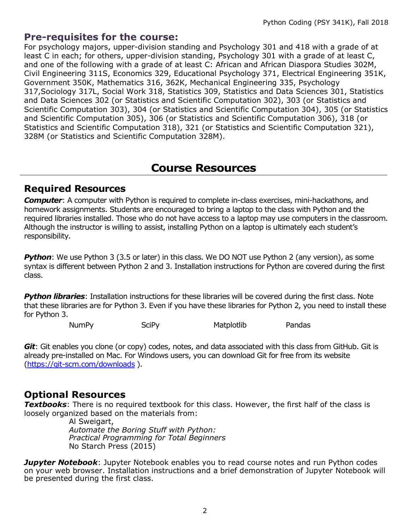#### **Pre-requisites for the course:**

For psychology majors, upper-division standing and Psychology 301 and 418 with a grade of at least C in each; for others, upper-division standing, Psychology 301 with a grade of at least C, and one of the following with a grade of at least C: African and African Diaspora Studies 302M, Civil Engineering 311S, Economics 329, Educational Psychology 371, Electrical Engineering 351K, Government 350K, Mathematics 316, 362K, Mechanical Engineering 335, Psychology 317,Sociology 317L, Social Work 318, Statistics 309, Statistics and Data Sciences 301, Statistics and Data Sciences 302 (or Statistics and Scientific Computation 302), 303 (or Statistics and Scientific Computation 303), 304 (or Statistics and Scientific Computation 304), 305 (or Statistics and Scientific Computation 305), 306 (or Statistics and Scientific Computation 306), 318 (or Statistics and Scientific Computation 318), 321 (or Statistics and Scientific Computation 321), 328M (or Statistics and Scientific Computation 328M).

## **Course Resources**

#### **Required Resources**

*Computer*: A computer with Python is required to complete in-class exercises, mini-hackathons, and homework assignments. Students are encouraged to bring a laptop to the class with Python and the required libraries installed. Those who do not have access to a laptop may use computers in the classroom. Although the instructor is willing to assist, installing Python on a laptop is ultimately each student's responsibility.

**Python:** We use Python 3 (3.5 or later) in this class. We DO NOT use Python 2 (any version), as some syntax is different between Python 2 and 3. Installation instructions for Python are covered during the first class.

**Python libraries**: Installation instructions for these libraries will be covered during the first class. Note that these libraries are for Python 3. Even if you have these libraries for Python 2, you need to install these for Python 3.

NumPy SciPy Matplotlib Pandas

*Git*: Git enables you clone (or copy) codes, notes, and data associated with this class from GitHub. Git is already pre-installed on Mac. For Windows users, you can download Git for free from its website (https://git-scm.com/downloads ).

## **Optional Resources**

*Textbooks*: There is no required textbook for this class. However, the first half of the class is loosely organized based on the materials from:

> Al Sweigart, *Automate the Boring Stuff with Python: Practical Programming for Total Beginners* No Starch Press (2015)

*Jupyter Notebook*: Jupyter Notebook enables you to read course notes and run Python codes on your web browser. Installation instructions and a brief demonstration of Jupyter Notebook will be presented during the first class.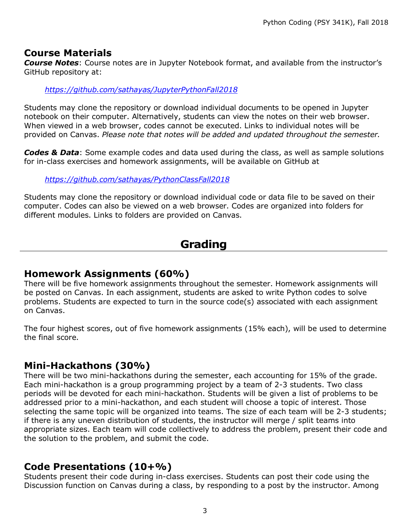#### **Course Materials**

*Course Notes*: Course notes are in Jupyter Notebook format, and available from the instructor's GitHub repository at:

#### *https://github.com/sathayas/JupyterPythonFall2018*

Students may clone the repository or download individual documents to be opened in Jupyter notebook on their computer. Alternatively, students can view the notes on their web browser. When viewed in a web browser, codes cannot be executed. Links to individual notes will be provided on Canvas. *Please note that notes will be added and updated throughout the semester.*

*Codes & Data*: Some example codes and data used during the class, as well as sample solutions for in-class exercises and homework assignments, will be available on GitHub at

*https://github.com/sathayas/PythonClassFall2018*

Students may clone the repository or download individual code or data file to be saved on their computer. Codes can also be viewed on a web browser. Codes are organized into folders for different modules. Links to folders are provided on Canvas.

# **Grading**

#### **Homework Assignments (60%)**

There will be five homework assignments throughout the semester. Homework assignments will be posted on Canvas. In each assignment, students are asked to write Python codes to solve problems. Students are expected to turn in the source code(s) associated with each assignment on Canvas.

The four highest scores, out of five homework assignments (15% each), will be used to determine the final score.

## **Mini-Hackathons (30%)**

There will be two mini-hackathons during the semester, each accounting for 15% of the grade. Each mini-hackathon is a group programming project by a team of 2-3 students. Two class periods will be devoted for each mini-hackathon. Students will be given a list of problems to be addressed prior to a mini-hackathon, and each student will choose a topic of interest. Those selecting the same topic will be organized into teams. The size of each team will be 2-3 students; if there is any uneven distribution of students, the instructor will merge / split teams into appropriate sizes. Each team will code collectively to address the problem, present their code and the solution to the problem, and submit the code.

## **Code Presentations (10+%)**

Students present their code during in-class exercises. Students can post their code using the Discussion function on Canvas during a class, by responding to a post by the instructor. Among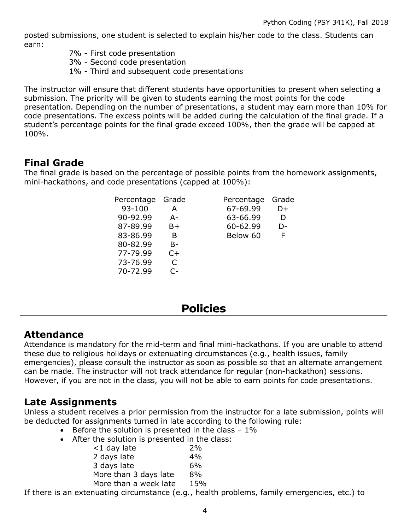posted submissions, one student is selected to explain his/her code to the class. Students can earn:

- 7% First code presentation
- 3% Second code presentation
- 1% Third and subsequent code presentations

The instructor will ensure that different students have opportunities to present when selecting a submission. The priority will be given to students earning the most points for the code presentation. Depending on the number of presentations, a student may earn more than 10% for code presentations. The excess points will be added during the calculation of the final grade. If a student's percentage points for the final grade exceed 100%, then the grade will be capped at 100%.

## **Final Grade**

The final grade is based on the percentage of possible points from the homework assignments, mini-hackathons, and code presentations (capped at 100%):

| Percentage | Grade | Percentage | Grade |
|------------|-------|------------|-------|
| 93-100     | А     | 67-69.99   | D+    |
| 90-92.99   | А-    | 63-66.99   | D     |
| 87-89.99   | B+    | 60-62.99   | D-    |
| 83-86.99   | B     | Below 60   | F     |
| 80-82.99   | B-    |            |       |
| 77-79.99   | C+    |            |       |
| 73-76.99   | C     |            |       |
| 70-72.99   | C-    |            |       |

# **Policies**

## **Attendance**

Attendance is mandatory for the mid-term and final mini-hackathons. If you are unable to attend these due to religious holidays or extenuating circumstances (e.g., health issues, family emergencies), please consult the instructor as soon as possible so that an alternate arrangement can be made. The instructor will not track attendance for regular (non-hackathon) sessions. However, if you are not in the class, you will not be able to earn points for code presentations.

## **Late Assignments**

Unless a student receives a prior permission from the instructor for a late submission, points will be deducted for assignments turned in late according to the following rule:

- Before the solution is presented in the class  $-1\%$
- After the solution is presented in the class:

| $<$ 1 day late        | 2%  |
|-----------------------|-----|
| 2 days late           | 4%  |
| 3 days late           | 6%  |
| More than 3 days late | 8%  |
| More than a week late | 15% |
|                       |     |

If there is an extenuating circumstance (e.g., health problems, family emergencies, etc.) to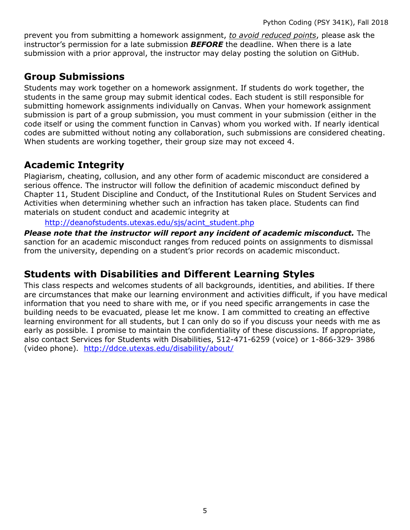prevent you from submitting a homework assignment, *to avoid reduced points*, please ask the instructor's permission for a late submission *BEFORE* the deadline. When there is a late submission with a prior approval, the instructor may delay posting the solution on GitHub.

## **Group Submissions**

Students may work together on a homework assignment. If students do work together, the students in the same group may submit identical codes. Each student is still responsible for submitting homework assignments individually on Canvas. When your homework assignment submission is part of a group submission, you must comment in your submission (either in the code itself or using the comment function in Canvas) whom you worked with. If nearly identical codes are submitted without noting any collaboration, such submissions are considered cheating. When students are working together, their group size may not exceed 4.

# **Academic Integrity**

Plagiarism, cheating, collusion, and any other form of academic misconduct are considered a serious offence. The instructor will follow the definition of academic misconduct defined by Chapter 11, Student Discipline and Conduct, of the Institutional Rules on Student Services and Activities when determining whether such an infraction has taken place. Students can find materials on student conduct and academic integrity at

#### http://deanofstudents.utexas.edu/sjs/acint\_student.php

*Please note that the instructor will report any incident of academic misconduct.* The sanction for an academic misconduct ranges from reduced points on assignments to dismissal from the university, depending on a student's prior records on academic misconduct.

## **Students with Disabilities and Different Learning Styles**

This class respects and welcomes students of all backgrounds, identities, and abilities. If there are circumstances that make our learning environment and activities difficult, if you have medical information that you need to share with me, or if you need specific arrangements in case the building needs to be evacuated, please let me know. I am committed to creating an effective learning environment for all students, but I can only do so if you discuss your needs with me as early as possible. I promise to maintain the confidentiality of these discussions. If appropriate, also contact Services for Students with Disabilities, 512-471-6259 (voice) or 1-866-329- 3986 (video phone). http://ddce.utexas.edu/disability/about/